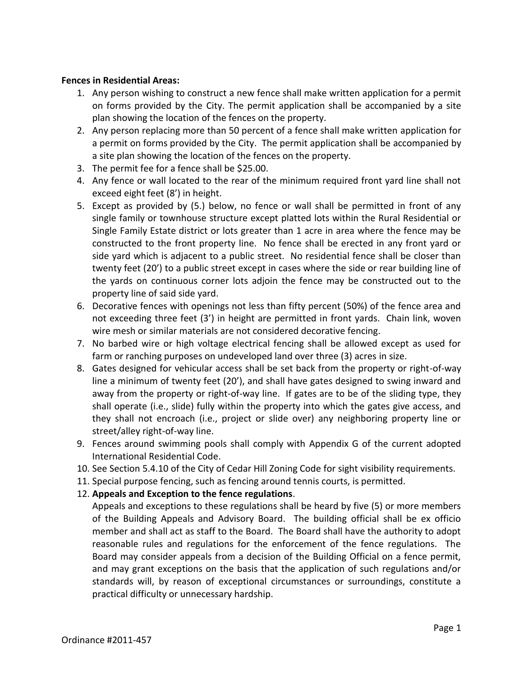## **Fences in Residential Areas:**

- 1. Any person wishing to construct a new fence shall make written application for a permit on forms provided by the City. The permit application shall be accompanied by a site plan showing the location of the fences on the property.
- 2. Any person replacing more than 50 percent of a fence shall make written application for a permit on forms provided by the City. The permit application shall be accompanied by a site plan showing the location of the fences on the property.
- 3. The permit fee for a fence shall be \$25.00.
- 4. Any fence or wall located to the rear of the minimum required front yard line shall not exceed eight feet (8') in height.
- 5. Except as provided by (5.) below, no fence or wall shall be permitted in front of any single family or townhouse structure except platted lots within the Rural Residential or Single Family Estate district or lots greater than 1 acre in area where the fence may be constructed to the front property line. No fence shall be erected in any front yard or side yard which is adjacent to a public street. No residential fence shall be closer than twenty feet (20') to a public street except in cases where the side or rear building line of the yards on continuous corner lots adjoin the fence may be constructed out to the property line of said side yard.
- 6. Decorative fences with openings not less than fifty percent (50%) of the fence area and not exceeding three feet (3') in height are permitted in front yards. Chain link, woven wire mesh or similar materials are not considered decorative fencing.
- 7. No barbed wire or high voltage electrical fencing shall be allowed except as used for farm or ranching purposes on undeveloped land over three (3) acres in size.
- 8. Gates designed for vehicular access shall be set back from the property or right-of-way line a minimum of twenty feet (20'), and shall have gates designed to swing inward and away from the property or right-of-way line. If gates are to be of the sliding type, they shall operate (i.e., slide) fully within the property into which the gates give access, and they shall not encroach (i.e., project or slide over) any neighboring property line or street/alley right-of-way line.
- 9. Fences around swimming pools shall comply with Appendix G of the current adopted International Residential Code.
- 10. See Section 5.4.10 of the City of Cedar Hill Zoning Code for sight visibility requirements.
- 11. Special purpose fencing, such as fencing around tennis courts, is permitted.
- 12. **Appeals and Exception to the fence regulations**.

Appeals and exceptions to these regulations shall be heard by five (5) or more members of the Building Appeals and Advisory Board. The building official shall be ex officio member and shall act as staff to the Board. The Board shall have the authority to adopt reasonable rules and regulations for the enforcement of the fence regulations. The Board may consider appeals from a decision of the Building Official on a fence permit, and may grant exceptions on the basis that the application of such regulations and/or standards will, by reason of exceptional circumstances or surroundings, constitute a practical difficulty or unnecessary hardship.